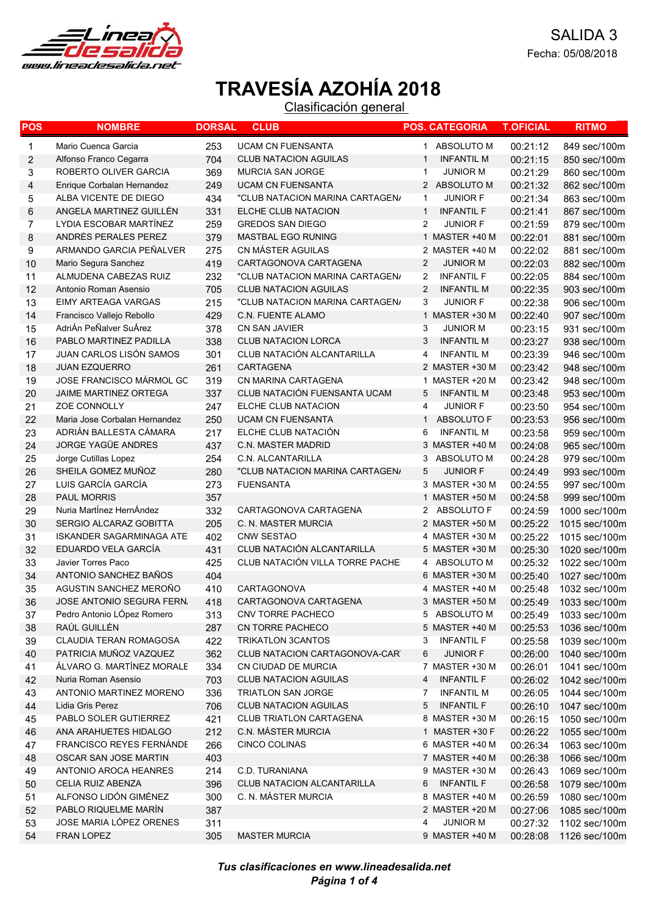

| POS | <b>NOMBRE</b>                    | <b>DORSAL</b> | <b>CLUB</b>                     |                | <b>POS. CATEGORIA</b> | <b>T.OFICIAL</b> | <b>RITMO</b>  |
|-----|----------------------------------|---------------|---------------------------------|----------------|-----------------------|------------------|---------------|
| 1   | Mario Cuenca Garcia              | 253           | <b>UCAM CN FUENSANTA</b>        | 1              | ABSOLUTO M            | 00:21:12         | 849 sec/100m  |
| 2   | Alfonso Franco Cegarra           | 704           | <b>CLUB NATACION AGUILAS</b>    | -1             | <b>INFANTIL M</b>     | 00:21:15         | 850 sec/100m  |
| 3   | ROBERTO OLIVER GARCIA            | 369           | <b>MURCIA SAN JORGE</b>         | $\mathbf 1$    | <b>JUNIOR M</b>       | 00:21:29         | 860 sec/100m  |
| 4   | Enrique Corbalan Hernandez       | 249           | <b>UCAM CN FUENSANTA</b>        |                | 2 ABSOLUTO M          | 00:21:32         | 862 sec/100m  |
| 5   | ALBA VICENTE DE DIEGO            | 434           | "CLUB NATACION MARINA CARTAGEN/ | 1              | <b>JUNIOR F</b>       | 00:21:34         | 863 sec/100m  |
| 6   | ANGELA MARTINEZ GUILLÉN          | 331           | ELCHE CLUB NATACION             | $\mathbf{1}$   | <b>INFANTIL F</b>     | 00:21:41         | 867 sec/100m  |
| 7   | LYDIA ESCOBAR MARTÍNEZ           | 259           | <b>GREDOS SAN DIEGO</b>         | 2              | <b>JUNIOR F</b>       | 00:21:59         | 879 sec/100m  |
| 8   | ANDRÉS PERALES PEREZ             | 379           | MASTBAL EGO RUNING              |                | 1 MASTER +40 M        | 00:22:01         | 881 sec/100m  |
| 9   | ARMANDO GARCIA PEÑALVER          | 275           | CN MÁSTER AGUILAS               |                | 2 MASTER +40 M        | 00:22:02         | 881 sec/100m  |
| 10  | Mario Segura Sanchez             | 419           | CARTAGONOVA CARTAGENA           | $\overline{2}$ | <b>JUNIOR M</b>       | 00:22:03         | 882 sec/100m  |
| 11  | ALMUDENA CABEZAS RUIZ            | 232           | "CLUB NATACION MARINA CARTAGEN/ | 2              | <b>INFANTIL F</b>     | 00:22:05         | 884 sec/100m  |
| 12  | Antonio Roman Asensio            | 705           | <b>CLUB NATACION AGUILAS</b>    | $\overline{2}$ | <b>INFANTIL M</b>     | 00:22:35         | 903 sec/100m  |
| 13  | EIMY ARTEAGA VARGAS              | 215           | "CLUB NATACION MARINA CARTAGEN/ | 3              | <b>JUNIOR F</b>       | 00:22:38         | 906 sec/100m  |
| 14  | Francisco Vallejo Rebollo        | 429           | <b>C.N. FUENTE ALAMO</b>        |                | 1 MASTER +30 M        | 00:22:40         | 907 sec/100m  |
| 15  | AdriÁn PeÑalver SuÁrez           | 378           | CN SAN JAVIER                   | 3              | <b>JUNIOR M</b>       | 00:23:15         | 931 sec/100m  |
| 16  | PABLO MARTINEZ PADILLA           | 338           | <b>CLUB NATACION LORCA</b>      | 3              | <b>INFANTIL M</b>     | 00:23:27         | 938 sec/100m  |
| 17  | <b>JUAN CARLOS LISÓN SAMOS</b>   | 301           | CLUB NATACIÓN ALCANTARILLA      | 4              | <b>INFANTIL M</b>     | 00:23:39         | 946 sec/100m  |
| 18  | <b>JUAN EZQUERRO</b>             | 261           | CARTAGENA                       |                | 2 MASTER +30 M        | 00:23:42         | 948 sec/100m  |
| 19  | JOSE FRANCISCO MÁRMOL GC         | 319           | CN MARINA CARTAGENA             | 1              | MASTER +20 M          | 00:23:42         | 948 sec/100m  |
| 20  | JAIME MARTINEZ ORTEGA            | 337           | CLUB NATACIÓN FUENSANTA UCAM    | 5              | <b>INFANTIL M</b>     | 00:23:48         | 953 sec/100m  |
| 21  | ZOE CONNOLLY                     | 247           | ELCHE CLUB NATACION             | 4              | <b>JUNIOR F</b>       | 00:23:50         | 954 sec/100m  |
| 22  | Maria Jose Corbalan Hernandez    | 250           | <b>UCAM CN FUENSANTA</b>        | $\mathbf 1$    | ABSOLUTO F            | 00:23:53         | 956 sec/100m  |
| 23  | ADRIÁN BALLESTA CÁMARA           | 217           | ELCHE CLUB NATACIÓN             | 6              | <b>INFANTIL M</b>     | 00:23:58         | 959 sec/100m  |
| 24  | <b>JORGE YAGÜE ANDRES</b>        | 437           | <b>C.N. MASTER MADRID</b>       |                | 3 MASTER +40 M        | 00:24:08         | 965 sec/100m  |
| 25  | Jorge Cutillas Lopez             | 254           | C.N. ALCANTARILLA               | 3              | ABSOLUTO M            | 00:24:28         | 979 sec/100m  |
| 26  | SHEILA GOMEZ MUÑOZ               | 280           | "CLUB NATACION MARINA CARTAGEN/ | 5              | <b>JUNIOR F</b>       | 00:24:49         | 993 sec/100m  |
| 27  | LUIS GARCÍA GARCÍA               | 273           | <b>FUENSANTA</b>                |                | 3 MASTER +30 M        | 00:24:55         | 997 sec/100m  |
| 28  | <b>PAUL MORRIS</b>               | 357           |                                 |                | 1 MASTER +50 M        | 00:24:58         | 999 sec/100m  |
| 29  | Nuria MartÍnez HernÁndez         | 332           | CARTAGONOVA CARTAGENA           |                | 2 ABSOLUTO F          | 00:24:59         | 1000 sec/100m |
| 30  | SERGIO ALCARAZ GOBITTA           | 205           | C. N. MASTER MURCIA             |                | 2 MASTER +50 M        | 00:25:22         | 1015 sec/100m |
| 31  | <b>ISKANDER SAGARMINAGA ATE</b>  | 402           | <b>CNW SESTAO</b>               |                | 4 MASTER +30 M        | 00:25:22         | 1015 sec/100m |
| 32  | EDUARDO VELA GARCÍA              | 431           | CLUB NATACIÓN ALCANTARILLA      |                | 5 MASTER +30 M        | 00:25:30         | 1020 sec/100m |
| 33  | Javier Torres Paco               | 425           | CLUB NATACIÓN VILLA TORRE PACHE |                | 4 ABSOLUTO M          | 00:25:32         | 1022 sec/100m |
| 34  | ANTONIO SANCHEZ BAÑOS            | 404           |                                 |                | 6 MASTER +30 M        | 00:25:40         | 1027 sec/100m |
| 35  | AGUSTIN SANCHEZ MEROÑO           | 410           | CARTAGONOVA                     |                | 4 MASTER +40 M        | 00:25:48         | 1032 sec/100m |
| 36  | <b>JOSE ANTONIO SEGURA FERN.</b> | 418           | CARTAGONOVA CARTAGENA           |                | 3 MASTER +50 M        | 00:25:49         | 1033 sec/100m |
| 37  | Pedro Antonio LÓpez Romero       | 313           | CNV TORRE PACHECO               |                | 5 ABSOLUTO M          | 00:25:49         | 1033 sec/100m |
| 38  | RAÚL GUILLÉN                     | 287           | CN TORRE PACHECO                |                | 5 MASTER +40 M        | 00:25:53         | 1036 sec/100m |
| 39  | CLAUDIA TERAN ROMAGOSA           | 422           | <b>TRIKATLON 3CANTOS</b>        | 3              | <b>INFANTIL F</b>     | 00:25:58         | 1039 sec/100m |
| 40  | PATRICIA MUÑOZ VAZQUEZ           | 362           | CLUB NATACION CARTAGONOVA-CAR   | 6              | JUNIOR F              | 00:26:00         | 1040 sec/100m |
| 41  | ÁLVARO G. MARTÍNEZ MORALE        | 334           | CN CIUDAD DE MURCIA             |                | 7 MASTER +30 M        | 00:26:01         | 1041 sec/100m |
| 42  | Nuria Roman Asensio              | 703           | <b>CLUB NATACION AGUILAS</b>    | 4              | <b>INFANTIL F</b>     | 00:26:02         | 1042 sec/100m |
| 43  | ANTONIO MARTINEZ MORENO          | 336           | <b>TRIATLON SAN JORGE</b>       | 7              | <b>INFANTIL M</b>     | 00:26:05         | 1044 sec/100m |
| 44  | Lidia Gris Perez                 | 706           | <b>CLUB NATACION AGUILAS</b>    | 5              | <b>INFANTIL F</b>     | 00:26:10         | 1047 sec/100m |
| 45  | PABLO SOLER GUTIERREZ            | 421           | <b>CLUB TRIATLON CARTAGENA</b>  |                | 8 MASTER +30 M        | 00:26:15         | 1050 sec/100m |
| 46  | ANA ARAHUETES HIDALGO            | 212           | C.N. MÁSTER MURCIA              |                | 1 MASTER +30 F        | 00:26:22         | 1055 sec/100m |
| 47  | <b>FRANCISCO REYES FERNÁNDE</b>  | 266           | <b>CINCO COLINAS</b>            |                | 6 MASTER +40 M        | 00:26:34         | 1063 sec/100m |
| 48  | OSCAR SAN JOSE MARTIN            | 403           |                                 |                | 7 MASTER +40 M        | 00:26:38         | 1066 sec/100m |
| 49  | ANTONIO AROCA HEANRES            | 214           | C.D. TURANIANA                  |                | 9 MASTER +30 M        | 00:26:43         | 1069 sec/100m |
| 50  | CELIA RUIZ ABENZA                | 396           | CLUB NATACION ALCANTARILLA      | 6              | <b>INFANTIL F</b>     | 00:26:58         | 1079 sec/100m |
| 51  | ALFONSO LIDÓN GIMÉNEZ            | 300           | C. N. MÁSTER MURCIA             |                | 8 MASTER +40 M        | 00:26:59         | 1080 sec/100m |
| 52  | PABLO RIQUELME MARÍN             | 387           |                                 |                | 2 MASTER +20 M        | 00:27:06         | 1085 sec/100m |
| 53  | JOSE MARIA LÓPEZ ORENES          | 311           |                                 | 4              | <b>JUNIOR M</b>       | 00:27:32         | 1102 sec/100m |
| 54  | FRAN LOPEZ                       | 305           | <b>MASTER MURCIA</b>            |                | 9 MASTER +40 M        | 00:28:08         | 1126 sec/100m |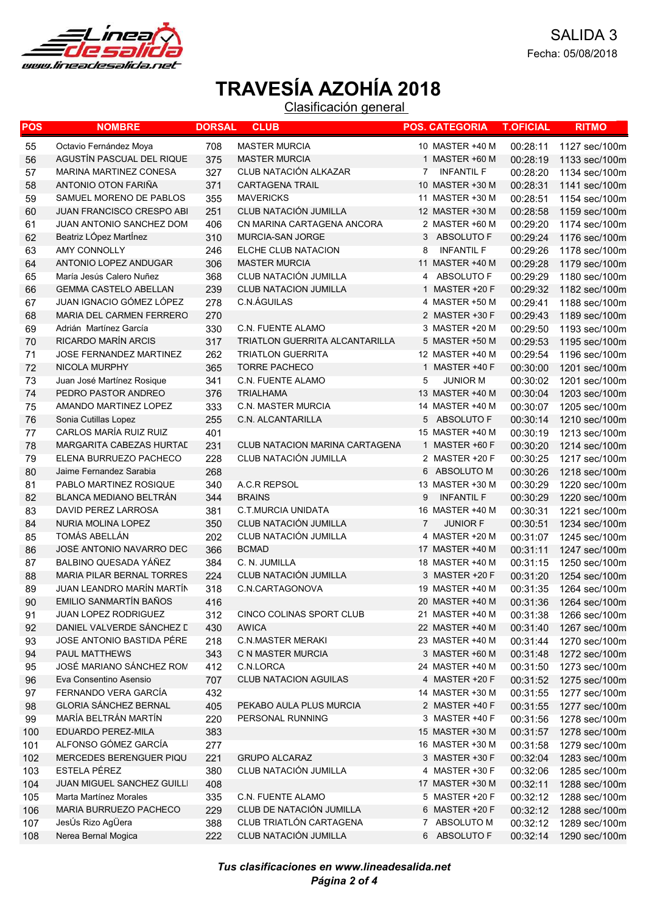

| POS | <b>NOMBRE</b>                    | <b>DORSAL</b> | <b>CLUB</b>                    | <b>POS. CATEGORIA</b>             | <b>T.OFICIAL</b> | <b>RITMO</b>  |
|-----|----------------------------------|---------------|--------------------------------|-----------------------------------|------------------|---------------|
| 55  | Octavio Fernández Moya           | 708           | <b>MASTER MURCIA</b>           | 10 MASTER +40 M                   | 00:28:11         | 1127 sec/100m |
| 56  | AGUSTÍN PASCUAL DEL RIQUE        | 375           | <b>MASTER MURCIA</b>           | 1 MASTER +60 M                    | 00:28:19         | 1133 sec/100m |
| 57  | <b>MARINA MARTINEZ CONESA</b>    | 327           | CLUB NATACIÓN ALKAZAR          | <b>INFANTIL F</b><br>7            | 00:28:20         | 1134 sec/100m |
| 58  | ANTONIO OTON FARIÑA              | 371           | <b>CARTAGENA TRAIL</b>         | 10 MASTER +30 M                   | 00:28:31         | 1141 sec/100m |
| 59  | SAMUEL MORENO DE PABLOS          | 355           | <b>MAVERICKS</b>               | 11 MASTER +30 M                   | 00:28:51         | 1154 sec/100m |
| 60  | <b>JUAN FRANCISCO CRESPO ABI</b> | 251           | CLUB NATACIÓN JUMILLA          | 12 MASTER +30 M                   | 00:28:58         | 1159 sec/100m |
| 61  | JUAN ANTONIO SANCHEZ DOM         | 406           | CN MARINA CARTAGENA ANCORA     | 2 MASTER +60 M                    | 00:29:20         | 1174 sec/100m |
| 62  | Beatriz LÓpez MartÍnez           | 310           | MURCIA-SAN JORGE               | 3<br>ABSOLUTO F                   | 00:29:24         | 1176 sec/100m |
| 63  | AMY CONNOLLY                     | 246           | ELCHE CLUB NATACION            | 8<br><b>INFANTIL F</b>            | 00:29:26         | 1178 sec/100m |
| 64  | ANTONIO LOPEZ ANDUGAR            | 306           | <b>MASTER MURCIA</b>           | 11 MASTER +40 M                   | 00:29:28         | 1179 sec/100m |
| 65  | María Jesús Calero Nuñez         | 368           | CLUB NATACIÓN JUMILLA          | ABSOLUTO F<br>4                   | 00:29:29         | 1180 sec/100m |
| 66  | <b>GEMMA CASTELO ABELLAN</b>     | 239           | CLUB NATACION JUMILLA          | 1 MASTER +20 F                    | 00:29:32         | 1182 sec/100m |
| 67  | JUAN IGNACIO GÓMEZ LÓPEZ         | 278           | C.N.AGUILAS                    | 4 MASTER +50 M                    | 00:29:41         | 1188 sec/100m |
| 68  | MARIA DEL CARMEN FERRERO         | 270           |                                | 2 MASTER +30 F                    | 00:29:43         | 1189 sec/100m |
| 69  | Adrián Martínez García           | 330           | C.N. FUENTE ALAMO              | 3 MASTER +20 M                    | 00:29:50         | 1193 sec/100m |
| 70  | RICARDO MARÍN ARCIS              | 317           | TRIATLON GUERRITA ALCANTARILLA | 5 MASTER +50 M                    | 00:29:53         | 1195 sec/100m |
| 71  | <b>JOSE FERNANDEZ MARTINEZ</b>   | 262           | <b>TRIATLON GUERRITA</b>       | 12 MASTER +40 M                   | 00:29:54         | 1196 sec/100m |
| 72  | NICOLA MURPHY                    | 365           | <b>TORRE PACHECO</b>           | 1 MASTER +40 F                    | 00:30:00         | 1201 sec/100m |
| 73  | Juan José Martínez Rosique       | 341           | <b>C.N. FUENTE ALAMO</b>       | 5<br><b>JUNIOR M</b>              | 00:30:02         | 1201 sec/100m |
| 74  | PEDRO PASTOR ANDREO              | 376           | <b>TRIALHAMA</b>               | 13 MASTER +40 M                   | 00:30:04         | 1203 sec/100m |
| 75  | AMANDO MARTINEZ LOPEZ            | 333           | <b>C.N. MASTER MURCIA</b>      | 14 MASTER +40 M                   | 00:30:07         | 1205 sec/100m |
| 76  | Sonia Cutillas Lopez             | 255           | C.N. ALCANTARILLA              | 5<br>ABSOLUTO F                   | 00:30:14         | 1210 sec/100m |
| 77  | CARLOS MARÍA RUIZ RUIZ           | 401           |                                | 15 MASTER +40 M                   | 00:30:19         | 1213 sec/100m |
| 78  | MARGARITA CABEZAS HURTAL         | 231           | CLUB NATACION MARINA CARTAGENA | 1 MASTER +60 F                    | 00:30:20         | 1214 sec/100m |
| 79  | ELENA BURRUEZO PACHECO           | 228           | CLUB NATACIÓN JUMILLA          | 2 MASTER +20 F                    | 00:30:25         | 1217 sec/100m |
| 80  | Jaime Fernandez Sarabia          | 268           |                                | 6<br>ABSOLUTO M                   | 00:30:26         | 1218 sec/100m |
| 81  | PABLO MARTINEZ ROSIQUE           | 340           | A.C.R REPSOL                   | 13 MASTER +30 M                   | 00:30:29         | 1220 sec/100m |
| 82  | <b>BLANCA MEDIANO BELTRAN</b>    | 344           | <b>BRAINS</b>                  | 9<br><b>INFANTIL F</b>            | 00:30:29         | 1220 sec/100m |
| 83  | DAVID PEREZ LARROSA              | 381           | C.T.MURCIA UNIDATA             | 16 MASTER +40 M                   | 00:30:31         | 1221 sec/100m |
| 84  | NURIA MOLINA LOPEZ               | 350           | CLUB NATACIÓN JUMILLA          | $\overline{7}$<br><b>JUNIOR F</b> | 00:30:51         | 1234 sec/100m |
| 85  | TOMÁS ABELLÁN                    | 202           | CLUB NATACIÓN JUMILLA          | 4 MASTER +20 M                    | 00:31:07         | 1245 sec/100m |
| 86  | JOSÉ ANTONIO NAVARRO DEC         | 366           | <b>BCMAD</b>                   | 17 MASTER +40 M                   | 00:31:11         | 1247 sec/100m |
| 87  | BALBINO QUESADA YÁÑEZ            | 384           | C. N. JUMILLA                  | 18 MASTER +40 M                   | 00:31:15         | 1250 sec/100m |
| 88  | <b>MARIA PILAR BERNAL TORRES</b> | 224           | CLUB NATACIÓN JUMILLA          | 3 MASTER +20 F                    | 00:31:20         | 1254 sec/100m |
| 89  | JUAN LEANDRO MARÍN MARTÍN        | 318           | C.N.CARTAGONOVA                | 19 MASTER +40 M                   | 00:31:35         | 1264 sec/100m |
| 90  | EMILIO SANMARTÍN BAÑOS           | 416           |                                | 20 MASTER +40 M                   | 00:31:36         | 1264 sec/100m |
| 91  | JUAN LOPEZ RODRIGUEZ             | 312           | CINCO COLINAS SPORT CLUB       | 21 MASTER +40 M                   | 00:31:38         | 1266 sec/100m |
| 92  | DANIEL VALVERDE SÁNCHEZ L        | 430           | <b>AWICA</b>                   | 22 MASTER +40 M                   | 00:31:40         | 1267 sec/100m |
| 93  | JOSE ANTONIO BASTIDA PÉRE        | 218           | <b>C.N.MASTER MERAKI</b>       | 23 MASTER +40 M                   | 00:31:44         | 1270 sec/100m |
| 94  | PAUL MATTHEWS                    | 343           | C N MASTER MURCIA              | 3 MASTER +60 M                    | 00:31:48         | 1272 sec/100m |
| 95  | JOSÉ MARIANO SÁNCHEZ ROM         | 412           | C.N.LORCA                      | 24 MASTER +40 M                   | 00:31:50         | 1273 sec/100m |
| 96  | Eva Consentino Asensio           | 707           | CLUB NATACION AGUILAS          | 4 MASTER +20 F                    | 00:31:52         | 1275 sec/100m |
| 97  | FERNANDO VERA GARCÍA             | 432           |                                | 14 MASTER +30 M                   | 00:31:55         | 1277 sec/100m |
| 98  | <b>GLORIA SÁNCHEZ BERNAL</b>     | 405           | PEKABO AULA PLUS MURCIA        | 2 MASTER +40 F                    | 00:31:55         | 1277 sec/100m |
| 99  | MARÍA BELTRÁN MARTÍN             | 220           | PERSONAL RUNNING               | 3 MASTER +40 F                    | 00:31:56         | 1278 sec/100m |
| 100 | EDUARDO PEREZ-MILA               | 383           |                                | 15 MASTER +30 M                   | 00:31:57         | 1278 sec/100m |
| 101 | ALFONSO GÓMEZ GARCÍA             | 277           |                                | 16 MASTER +30 M                   | 00:31:58         | 1279 sec/100m |
| 102 | MERCEDES BERENGUER PIQU          | 221           | <b>GRUPO ALCARAZ</b>           | 3 MASTER +30 F                    | 00:32:04         | 1283 sec/100m |
| 103 | ESTELA PÉREZ                     | 380           | CLUB NATACIÓN JUMILLA          | 4 MASTER +30 F                    | 00:32:06         | 1285 sec/100m |
| 104 | JUAN MIGUEL SANCHEZ GUILLI       | 408           |                                | 17 MASTER +30 M                   | 00:32:11         | 1288 sec/100m |
| 105 | Marta Martínez Morales           | 335           | C.N. FUENTE ALAMO              | 5 MASTER +20 F                    | 00:32:12         | 1288 sec/100m |
| 106 | MARIA BURRUEZO PACHECO           | 229           | CLUB DE NATACIÓN JUMILLA       | 6 MASTER +20 F                    | 00:32:12         | 1288 sec/100m |
| 107 | JesÚs Rizo AgÜera                | 388           | CLUB TRIATLÓN CARTAGENA        | 7 ABSOLUTO M                      | 00:32:12         | 1289 sec/100m |
| 108 | Nerea Bernal Mogica              | 222           | CLUB NATACIÓN JUMILLA          | ABSOLUTO F<br>6                   | 00:32:14         | 1290 sec/100m |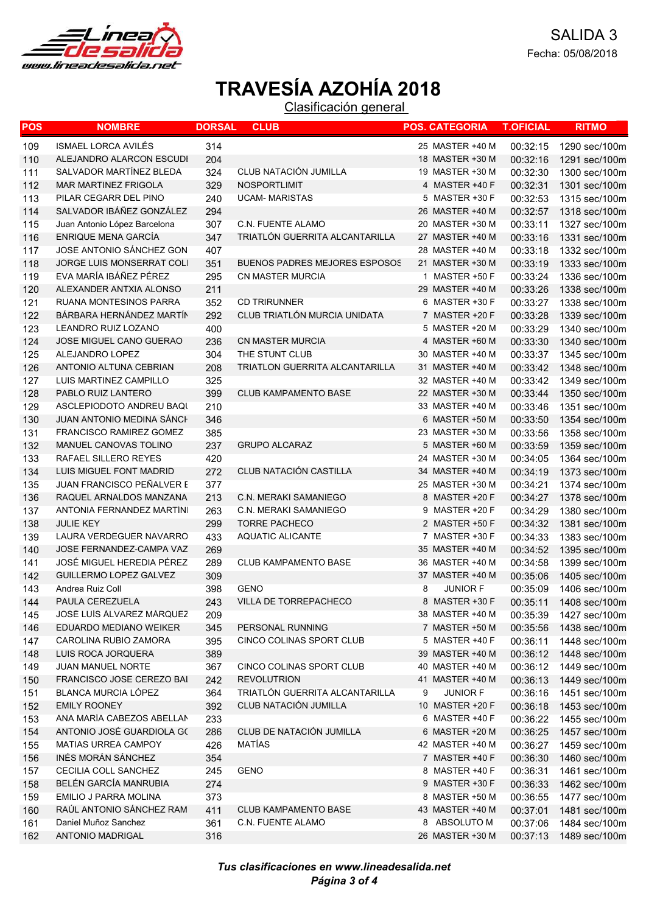

| POS | <b>NOMBRE</b>                    | <b>DORSAL</b> | <b>CLUB</b>                          | <b>POS. CATEGORIA</b> | <b>T.OFICIAL</b> | <b>RITMO</b>  |
|-----|----------------------------------|---------------|--------------------------------------|-----------------------|------------------|---------------|
| 109 | ISMAEL LORCA AVILÉS              | 314           |                                      | 25 MASTER +40 M       | 00:32:15         | 1290 sec/100m |
| 110 | ALEJANDRO ALARCON ESCUDI         | 204           |                                      | 18 MASTER +30 M       | 00:32:16         | 1291 sec/100m |
| 111 | SALVADOR MARTÍNEZ BLEDA          | 324           | CLUB NATACIÓN JUMILLA                | 19 MASTER +30 M       | 00:32:30         | 1300 sec/100m |
| 112 | <b>MAR MARTINEZ FRIGOLA</b>      | 329           | NOSPORTLIMIT                         | 4 MASTER +40 F        | 00:32:31         | 1301 sec/100m |
| 113 | PILAR CEGARR DEL PINO            | 240           | <b>UCAM- MARISTAS</b>                | 5 MASTER +30 F        | 00:32:53         | 1315 sec/100m |
| 114 | SALVADOR IBÁÑEZ GONZÁLEZ         | 294           |                                      | 26 MASTER +40 M       | 00:32:57         | 1318 sec/100m |
| 115 | Juan Antonio López Barcelona     | 307           | C.N. FUENTE ALAMO                    | 20 MASTER +30 M       | 00:33:11         | 1327 sec/100m |
| 116 | <b>ENRIQUE MENA GARCÍA</b>       | 347           | TRIATLÓN GUERRITA ALCANTARILLA       | 27 MASTER +40 M       | 00:33:16         | 1331 sec/100m |
| 117 | JOSE ANTONIO SÁNCHEZ GON         | 407           |                                      | 28 MASTER +40 M       | 00:33:18         | 1332 sec/100m |
| 118 | JORGE LUIS MONSERRAT COLI        | 351           | <b>BUENOS PADRES MEJORES ESPOSOS</b> | 21 MASTER +30 M       | 00:33:19         | 1333 sec/100m |
| 119 | EVA MARÍA IBÁÑEZ PÉREZ           | 295           | CN MASTER MURCIA                     | 1 MASTER +50 F        | 00:33:24         | 1336 sec/100m |
| 120 | ALEXANDER ANTXIA ALONSO          | 211           |                                      | 29 MASTER +40 M       | 00:33:26         | 1338 sec/100m |
| 121 | RUANA MONTESINOS PARRA           | 352           | <b>CD TRIRUNNER</b>                  | 6 MASTER +30 F        | 00:33:27         | 1338 sec/100m |
| 122 | BÁRBARA HERNÁNDEZ MARTÍN         | 292           | CLUB TRIATLÓN MURCIA UNIDATA         | 7 MASTER +20 F        | 00:33:28         | 1339 sec/100m |
| 123 | LEANDRO RUIZ LOZANO              | 400           |                                      | 5 MASTER +20 M        | 00:33:29         | 1340 sec/100m |
| 124 | <b>JOSE MIGUEL CANO GUERAO</b>   | 236           | <b>CN MASTER MURCIA</b>              | 4 MASTER +60 M        | 00:33:30         | 1340 sec/100m |
| 125 | ALEJANDRO LOPEZ                  | 304           | THE STUNT CLUB                       | 30 MASTER +40 M       | 00:33:37         | 1345 sec/100m |
| 126 | ANTONIO ALTUNA CEBRIAN           | 208           | TRIATLON GUERRITA ALCANTARILLA       | 31 MASTER +40 M       | 00:33:42         | 1348 sec/100m |
| 127 | LUIS MARTINEZ CAMPILLO           | 325           |                                      | 32 MASTER +40 M       | 00:33:42         | 1349 sec/100m |
| 128 | PABLO RUIZ LANTERO               | 399           | CLUB KAMPAMENTO BASE                 | 22 MASTER +30 M       | 00:33:44         | 1350 sec/100m |
| 129 | ASCLEPIODOTO ANDREU BAQI         | 210           |                                      | 33 MASTER +40 M       | 00:33:46         | 1351 sec/100m |
| 130 | <b>JUAN ANTONIO MEDINA SANCH</b> | 346           |                                      | 6 MASTER +50 M        | 00:33:50         | 1354 sec/100m |
| 131 | FRANCISCO RAMIREZ GOMEZ          | 385           |                                      | 23 MASTER +30 M       | 00:33:56         | 1358 sec/100m |
| 132 | MANUEL CANOVAS TOLINO            | 237           | <b>GRUPO ALCARAZ</b>                 | 5 MASTER +60 M        | 00:33:59         | 1359 sec/100m |
| 133 | RAFAEL SILLERO REYES             | 420           |                                      | 24 MASTER +30 M       | 00:34:05         | 1364 sec/100m |
| 134 | LUIS MIGUEL FONT MADRID          | 272           | CLUB NATACIÓN CASTILLA               | 34 MASTER +40 M       | 00:34:19         | 1373 sec/100m |
| 135 | <b>JUAN FRANCISCO PEÑALVER E</b> | 377           |                                      | 25 MASTER +30 M       | 00:34:21         | 1374 sec/100m |
| 136 | RAQUEL ARNALDOS MANZANA          | 213           | <b>C.N. MERAKI SAMANIEGO</b>         | 8 MASTER +20 F        | 00:34:27         | 1378 sec/100m |
| 137 | ANTONIA FERNÁNDEZ MARTÍN         | 263           | C.N. MERAKI SAMANIEGO                | 9 MASTER +20 F        | 00:34:29         | 1380 sec/100m |
| 138 | <b>JULIE KEY</b>                 | 299           | <b>TORRE PACHECO</b>                 | 2 MASTER +50 F        | 00:34:32         | 1381 sec/100m |
| 139 | LAURA VERDEGUER NAVARRO          | 433           | <b>AQUATIC ALICANTE</b>              | 7 MASTER +30 F        | 00:34:33         | 1383 sec/100m |
| 140 | JOSE FERNANDEZ-CAMPA VAZ         | 269           |                                      | 35 MASTER +40 M       | 00:34:52         | 1395 sec/100m |
| 141 | JOSÉ MIGUEL HEREDIA PÉREZ        | 289           | <b>CLUB KAMPAMENTO BASE</b>          | 36 MASTER +40 M       | 00:34:58         | 1399 sec/100m |
| 142 | GUILLERMO LOPEZ GALVEZ           | 309           |                                      | 37 MASTER +40 M       | 00:35:06         | 1405 sec/100m |
| 143 | Andrea Ruiz Coll                 | 398           | <b>GENO</b>                          | 8<br><b>JUNIOR F</b>  | 00:35:09         | 1406 sec/100m |
| 144 | PAULA CEREZUELA                  | 243           | VILLA DE TORREPACHECO                | 8 MASTER +30 F        | 00:35:11         | 1408 sec/100m |
| 145 | JOSÉ LUÍS ÁLVAREZ MÁRQUEZ        | 209           |                                      | 38 MASTER +40 M       | 00:35:39         | 1427 sec/100m |
| 146 | EDUARDO MEDIANO WEIKER           | 345           | PERSONAL RUNNING                     | 7 MASTER +50 M        | 00:35:56         | 1438 sec/100m |
| 147 | CAROLINA RUBIO ZAMORA            | 395           | CINCO COLINAS SPORT CLUB             | 5 MASTER +40 F        | 00:36:11         | 1448 sec/100m |
| 148 | LUIS ROCA JORQUERA               | 389           |                                      | 39 MASTER +40 M       | 00:36:12         | 1448 sec/100m |
| 149 | JUAN MANUEL NORTE                | 367           | CINCO COLINAS SPORT CLUB             | 40 MASTER +40 M       | 00:36:12         | 1449 sec/100m |
| 150 | FRANCISCO JOSE CEREZO BAI        | 242           | <b>REVOLUTRION</b>                   | 41 MASTER +40 M       | 00:36:13         | 1449 sec/100m |
| 151 | BLANCA MURCIA LÓPEZ              | 364           | TRIATLÓN GUERRITA ALCANTARILLA       | <b>JUNIOR F</b><br>9  | 00:36:16         | 1451 sec/100m |
| 152 | <b>EMILY ROONEY</b>              | 392           | CLUB NATACIÓN JUMILLA                | 10 MASTER +20 F       | 00:36:18         | 1453 sec/100m |
| 153 | ANA MARÍA CABEZOS ABELLAN        | 233           |                                      | 6 MASTER +40 F        | 00:36:22         | 1455 sec/100m |
| 154 | ANTONIO JOSÉ GUARDIOLA G(        | 286           | CLUB DE NATACIÓN JUMILLA             | 6 MASTER +20 M        | 00:36:25         | 1457 sec/100m |
| 155 | <b>MATIAS URREA CAMPOY</b>       | 426           | MATÍAS                               | 42 MASTER +40 M       | 00:36:27         | 1459 sec/100m |
| 156 | INÉS MORÁN SÁNCHEZ               | 354           |                                      | 7 MASTER +40 F        | 00:36:30         | 1460 sec/100m |
| 157 | CECILIA COLL SANCHEZ             | 245           | GENO                                 | 8 MASTER +40 F        | 00:36:31         | 1461 sec/100m |
| 158 | BELÉN GARCÍA MANRUBIA            | 274           |                                      | 9 MASTER +30 F        | 00:36:33         | 1462 sec/100m |
| 159 | EMILIO J PARRA MOLINA            | 373           |                                      | 8 MASTER +50 M        | 00:36:55         | 1477 sec/100m |
| 160 | RAÚL ANTONIO SÁNCHEZ RAM         | 411           | <b>CLUB KAMPAMENTO BASE</b>          | 43 MASTER +40 M       | 00:37:01         | 1481 sec/100m |
| 161 | Daniel Muñoz Sanchez             | 361           | C.N. FUENTE ALAMO                    | 8 ABSOLUTO M          | 00:37:06         | 1484 sec/100m |
| 162 | ANTONIO MADRIGAL                 | 316           |                                      | 26 MASTER +30 M       | 00:37:13         | 1489 sec/100m |